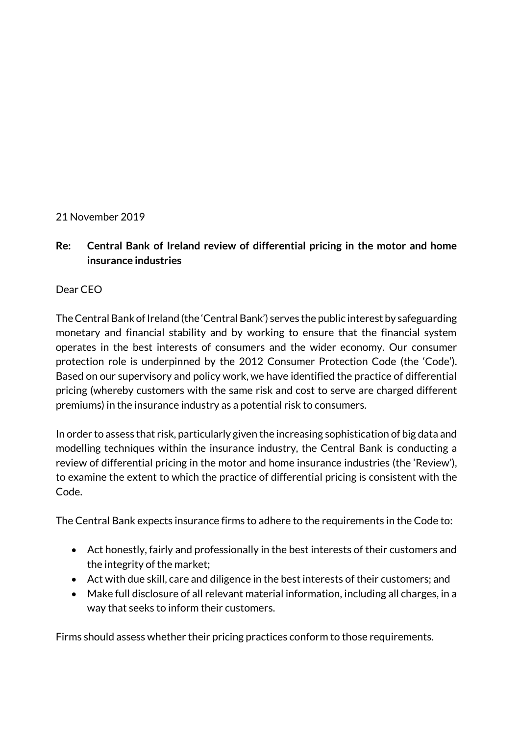### 21 November 2019

**Re: Central Bank of Ireland review of differential pricing in the motor and home insurance industries**

Dear CEO

The Central Bank of Ireland (the 'Central Bank') serves the public interest by safeguarding monetary and financial stability and by working to ensure that the financial system operates in the best interests of consumers and the wider economy. Our consumer protection role is underpinned by the 2012 Consumer Protection Code (the 'Code'). Based on our supervisory and policy work, we have identified the practice of differential pricing (whereby customers with the same risk and cost to serve are charged different premiums) in the insurance industry as a potential risk to consumers.

In order to assess that risk, particularly given the increasing sophistication of big data and modelling techniques within the insurance industry, the Central Bank is conducting a review of differential pricing in the motor and home insurance industries (the 'Review'), to examine the extent to which the practice of differential pricing is consistent with the Code.

The Central Bank expects insurance firms to adhere to the requirements in the Code to:

- Act honestly, fairly and professionally in the best interests of their customers and the integrity of the market;
- Act with due skill, care and diligence in the best interests of their customers; and
- Make full disclosure of all relevant material information, including all charges, in a way that seeks to inform their customers.

Firms should assess whether their pricing practices conform to those requirements.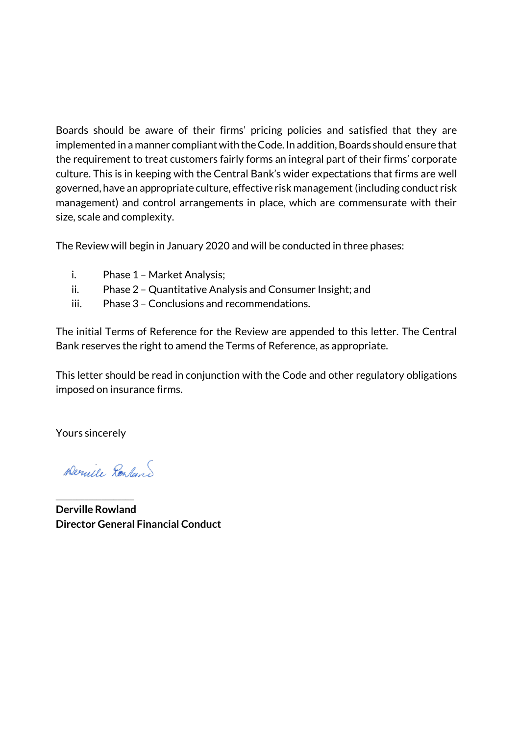Boards should be aware of their firms' pricing policies and satisfied that they are implemented in a manner compliant with the Code. In addition, Boards should ensure that the requirement to treat customers fairly forms an integral part of their firms' corporate culture. This is in keeping with the Central Bank's wider expectations that firms are well governed, have an appropriate culture, effective risk management(including conduct risk management) and control arrangements in place, which are commensurate with their size, scale and complexity.

The Review will begin in January 2020 and will be conducted in three phases:

- i. Phase 1 Market Analysis;
- ii. Phase 2 Quantitative Analysis and Consumer Insight; and
- iii. Phase 3 Conclusions and recommendations.

The initial Terms of Reference for the Review are appended to this letter. The Central Bank reserves the right to amend the Terms of Reference, as appropriate.

This letter should be read in conjunction with the Code and other regulatory obligations imposed on insurance firms.

Yours sincerely

\_\_\_\_\_\_\_\_\_\_\_\_\_\_\_\_\_\_\_

Dernile Resland

**Derville Rowland Director General Financial Conduct**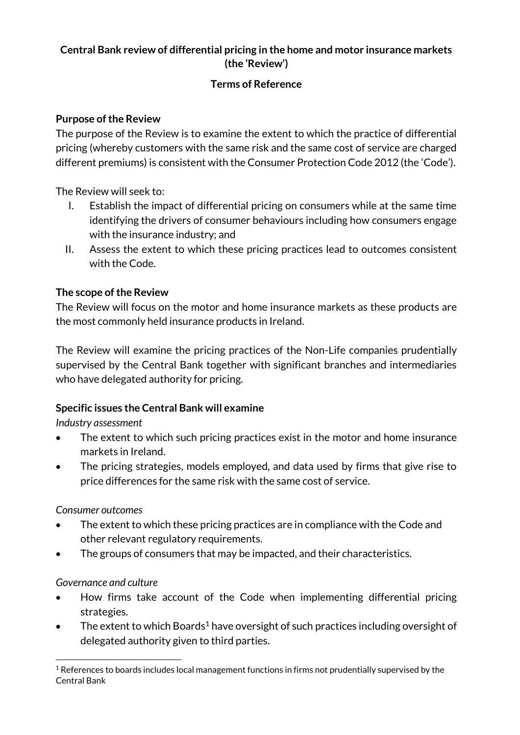# **Central Bank review of differential pricing in the home and motor insurance markets (the 'Review')**

## **Terms of Reference**

## **Purpose of the Review**

The purpose of the Review is to examine the extent to which the practice of differential pricing (whereby customers with the same risk and the same cost of service are charged different premiums) is consistent with the Consumer Protection Code 2012 (the 'Code').

The Review will seek to:

- I. Establish the impact of differential pricing on consumers while at the same time identifying the drivers of consumer behaviours including how consumers engage with the insurance industry; and
- II. Assess the extent to which these pricing practices lead to outcomes consistent with the Code.

# **The scope of the Review**

The Review will focus on the motor and home insurance markets as these products are the most commonly held insurance products in Ireland.

The Review will examine the pricing practices of the Non-Life companies prudentially supervised by the Central Bank together with significant branches and intermediaries who have delegated authority for pricing.

# **Specific issues the Central Bank will examine**

*Industry assessment*

- The extent to which such pricing practices exist in the motor and home insurance markets in Ireland.
- The pricing strategies, models employed, and data used by firms that give rise to price differences for the same risk with the same cost of service.

## *Consumer outcomes*

- The extent to which these pricing practices are in compliance with the Code and other relevant regulatory requirements.
- The groups of consumers that may be impacted, and their characteristics.

# *Governance and culture*

- How firms take account of the Code when implementing differential pricing strategies.
- The extent to which Boards<sup>1</sup> have oversight of such practices including oversight of delegated authority given to third parties.

 $\overline{a}$ <sup>1</sup> References to boards includes local management functions in firms not prudentially supervised by the Central Bank